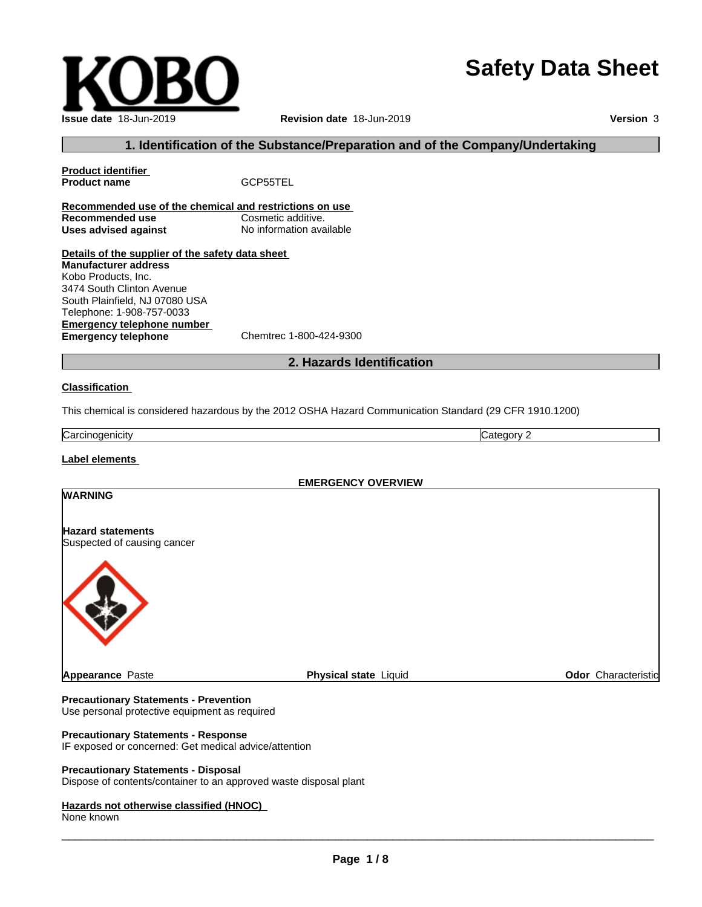# **Safety Data Sheet**

 $\_$  ,  $\_$  ,  $\_$  ,  $\_$  ,  $\_$  ,  $\_$  ,  $\_$  ,  $\_$  ,  $\_$  ,  $\_$  ,  $\_$  ,  $\_$  ,  $\_$  ,  $\_$  ,  $\_$  ,  $\_$  ,  $\_$  ,  $\_$  ,  $\_$  ,  $\_$  ,  $\_$  ,  $\_$  ,  $\_$  ,  $\_$  ,  $\_$  ,  $\_$  ,  $\_$  ,  $\_$  ,  $\_$  ,  $\_$  ,  $\_$  ,  $\_$  ,  $\_$  ,  $\_$  ,  $\_$  ,  $\_$  ,  $\_$  ,

#### **1. Identification of the Substance/Preparation and of the Company/Undertaking**

**Product identifier Product name** GCP55TEL **Recommended use of the chemical and restrictions on use Recommended use Cosmetic additive. Uses advised against** No information available

**Details of the supplier of the safety data sheet Emergency telephone number Emergency telephone** Chemtrec 1-800-424-9300 **Manufacturer address** Kobo Products, Inc. 3474 South Clinton Avenue South Plainfield, NJ 07080 USA Telephone: 1-908-757-0033

#### **2. Hazards Identification**

#### **Classification**

This chemical is considered hazardous by the 2012 OSHA Hazard Communication Standard (29 CFR 1910.1200)

**Carcinogenicity** Category 2

**Label elements**

#### **EMERGENCY OVERVIEW**

**WARNING**

**Hazard statements** Suspected of causing cancer



**Appearance Paste Physical state** Liquid **Physical state** Liquid **Constanting Community Odor** Characteristic

#### **Precautionary Statements - Prevention**

Use personal protective equipment as required

#### **Precautionary Statements - Response**

IF exposed or concerned: Get medical advice/attention

#### **Precautionary Statements - Disposal**

Dispose of contents/container to an approved waste disposal plant

#### **Hazards not otherwise classified (HNOC)**

None known

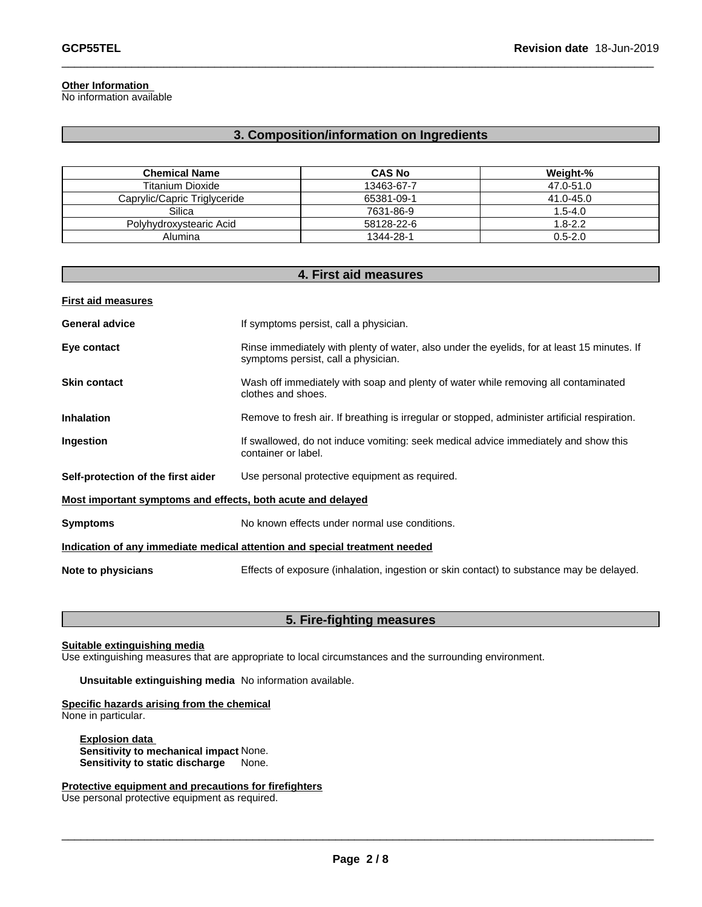#### **Other Information**

No information available

#### **3. Composition/information on Ingredients**

| <b>Chemical Name</b>         | <b>CAS No</b> | Weight-%    |
|------------------------------|---------------|-------------|
| <b>Titanium Dioxide</b>      | 13463-67-7    | 47.0-51.0   |
| Caprylic/Capric Triglyceride | 65381-09-1    | 41.0-45.0   |
| Silica                       | 7631-86-9     | $1.5 - 4.0$ |
| Polyhydroxystearic Acid      | 58128-22-6    | $1.8 - 2.2$ |
| Alumina                      | 1344-28-1     | $0.5 - 2.0$ |

| 4. First aid measures                                       |                                                                                                                                    |  |  |  |
|-------------------------------------------------------------|------------------------------------------------------------------------------------------------------------------------------------|--|--|--|
| <b>First aid measures</b>                                   |                                                                                                                                    |  |  |  |
| <b>General advice</b>                                       | If symptoms persist, call a physician.                                                                                             |  |  |  |
| Eye contact                                                 | Rinse immediately with plenty of water, also under the eyelids, for at least 15 minutes. If<br>symptoms persist, call a physician. |  |  |  |
| <b>Skin contact</b>                                         | Wash off immediately with soap and plenty of water while removing all contaminated<br>clothes and shoes.                           |  |  |  |
| <b>Inhalation</b>                                           | Remove to fresh air. If breathing is irregular or stopped, administer artificial respiration.                                      |  |  |  |
| Ingestion                                                   | If swallowed, do not induce vomiting: seek medical advice immediately and show this<br>container or label.                         |  |  |  |
| Self-protection of the first aider                          | Use personal protective equipment as required.                                                                                     |  |  |  |
| Most important symptoms and effects, both acute and delayed |                                                                                                                                    |  |  |  |
| <b>Symptoms</b>                                             | No known effects under normal use conditions.                                                                                      |  |  |  |
|                                                             | Indication of any immediate medical attention and special treatment needed                                                         |  |  |  |
| Note to physicians                                          | Effects of exposure (inhalation, ingestion or skin contact) to substance may be delayed.                                           |  |  |  |

## **5. Fire-fighting measures**

#### **Suitable extinguishing media**

Use extinguishing measures that are appropriate to local circumstances and the surrounding environment.

**Unsuitable extinguishing media** No information available.

# **Specific hazards arising from the chemical**

None in particular.

**Explosion data Sensitivity to mechanical impact** None. **Sensitivity to static discharge** None.

#### **Protective equipment and precautions for firefighters**

Use personal protective equipment as required.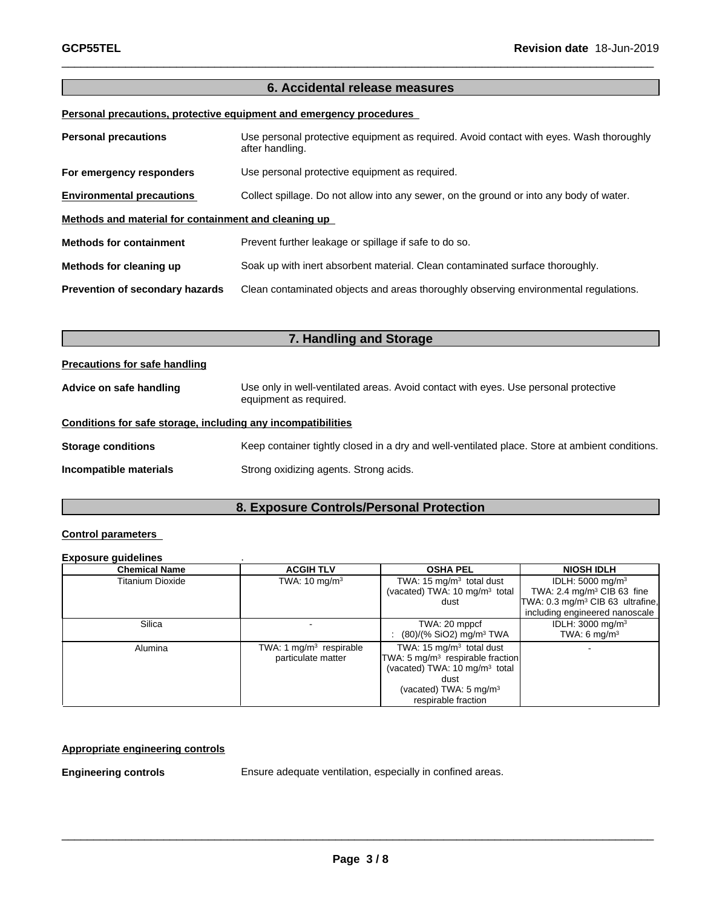#### **6. Accidental release measures**

**Personal precautions, protective equipment and emergency procedures**

| <b>Personal precautions</b>                          | Use personal protective equipment as required. Avoid contact with eyes. Wash thoroughly<br>after handling. |
|------------------------------------------------------|------------------------------------------------------------------------------------------------------------|
| For emergency responders                             | Use personal protective equipment as required.                                                             |
| <b>Environmental precautions</b>                     | Collect spillage. Do not allow into any sewer, on the ground or into any body of water.                    |
| Methods and material for containment and cleaning up |                                                                                                            |
| <b>Methods for containment</b>                       | Prevent further leakage or spillage if safe to do so.                                                      |
| Methods for cleaning up                              | Soak up with inert absorbent material. Clean contaminated surface thoroughly.                              |
| Prevention of secondary hazards                      | Clean contaminated objects and areas thoroughly observing environmental regulations.                       |

| 7. Handling and Storage                                      |                                                                                                               |  |  |
|--------------------------------------------------------------|---------------------------------------------------------------------------------------------------------------|--|--|
| <b>Precautions for safe handling</b>                         |                                                                                                               |  |  |
| Advice on safe handling                                      | Use only in well-ventilated areas. Avoid contact with eyes. Use personal protective<br>equipment as required. |  |  |
| Conditions for safe storage, including any incompatibilities |                                                                                                               |  |  |
| <b>Storage conditions</b>                                    | Keep container tightly closed in a dry and well-ventilated place. Store at ambient conditions.                |  |  |
| Incompatible materials                                       | Strong oxidizing agents. Strong acids.                                                                        |  |  |

# **8. Exposure Controls/Personal Protection**

#### **Control parameters**

# **Exposure guidelines** .

| <b>Chemical Name</b> | <b>ACGIH TLV</b>          | <b>OSHA PEL</b>                              | <b>NIOSH IDLH</b>                            |
|----------------------|---------------------------|----------------------------------------------|----------------------------------------------|
| Titanium Dioxide     | TWA: $10 \text{ mg/m}^3$  | TWA: $15 \text{ mg/m}^3$ total dust          | IDLH: $5000 \text{ mg/m}^3$                  |
|                      |                           | (vacated) TWA: $10 \text{ mg/m}^3$ total     | TWA: 2.4 mg/m <sup>3</sup> CIB 63 fine       |
|                      |                           | dust                                         | TWA: 0.3 mg/m <sup>3</sup> CIB 63 ultrafine, |
|                      |                           |                                              | including engineered nanoscale               |
| Silica               |                           | TWA: 20 mppcf                                | IDLH: $3000 \text{ mg/m}^3$                  |
|                      |                           | (80)/(% SiO2) mg/m <sup>3</sup> TWA          | TWA: 6 $mq/m3$                               |
| Alumina              | TWA: 1 $mg/m3$ respirable | TWA: $15 \text{ mg/m}^3$ total dust          |                                              |
|                      | particulate matter        | TWA: 5 mg/m <sup>3</sup> respirable fraction |                                              |
|                      |                           | (vacated) TWA: $10 \text{ mg/m}^3$ total     |                                              |
|                      |                           | dust                                         |                                              |
|                      |                           | (vacated) TWA: $5 \text{ mg/m}^3$            |                                              |
|                      |                           | respirable fraction                          |                                              |

#### **Appropriate engineering controls**

**Engineering controls** Ensure adequate ventilation, especially in confined areas.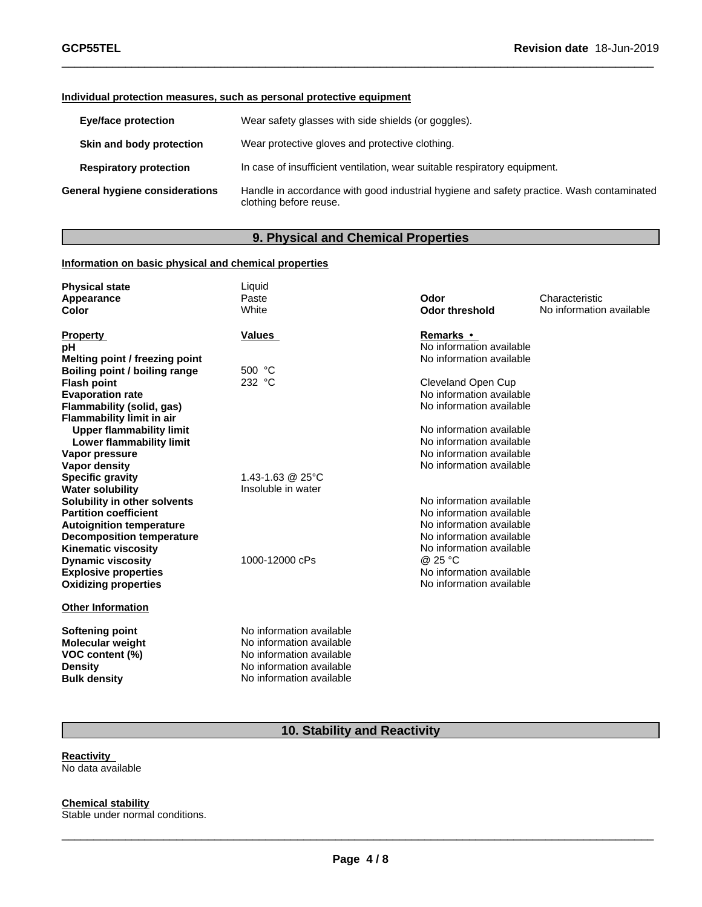#### **Individual protection measures, such as personal protective equipment**

| <b>Eye/face protection</b>            | Wear safety glasses with side shields (or goggles).                                                                |
|---------------------------------------|--------------------------------------------------------------------------------------------------------------------|
| Skin and body protection              | Wear protective gloves and protective clothing.                                                                    |
| <b>Respiratory protection</b>         | In case of insufficient ventilation, wear suitable respiratory equipment.                                          |
| <b>General hygiene considerations</b> | Handle in accordance with good industrial hygiene and safety practice. Wash contaminated<br>clothing before reuse. |

# **9. Physical and Chemical Properties**

#### **Information on basic physical and chemical properties**

| <b>Physical state</b>            | Liquid                   |                          |                          |
|----------------------------------|--------------------------|--------------------------|--------------------------|
| Appearance                       | Paste                    | Odor                     | Characteristic           |
| Color                            | White                    | <b>Odor threshold</b>    | No information available |
| <b>Property</b>                  | Values                   | <b>Remarks</b> •         |                          |
| рH                               |                          | No information available |                          |
| Melting point / freezing point   |                          | No information available |                          |
| Boiling point / boiling range    | 500 $°C$                 |                          |                          |
| <b>Flash point</b>               | 232 $°C$                 | Cleveland Open Cup       |                          |
| <b>Evaporation rate</b>          |                          | No information available |                          |
| Flammability (solid, gas)        |                          | No information available |                          |
| <b>Flammability limit in air</b> |                          |                          |                          |
| <b>Upper flammability limit</b>  |                          | No information available |                          |
| <b>Lower flammability limit</b>  |                          | No information available |                          |
| Vapor pressure                   |                          | No information available |                          |
| Vapor density                    |                          | No information available |                          |
| <b>Specific gravity</b>          | 1.43-1.63 @ 25°C         |                          |                          |
| <b>Water solubility</b>          | Insoluble in water       |                          |                          |
| Solubility in other solvents     |                          | No information available |                          |
| <b>Partition coefficient</b>     |                          | No information available |                          |
| <b>Autoignition temperature</b>  |                          | No information available |                          |
| <b>Decomposition temperature</b> |                          | No information available |                          |
| <b>Kinematic viscosity</b>       |                          | No information available |                          |
| <b>Dynamic viscosity</b>         | 1000-12000 cPs           | @ 25 °C                  |                          |
| <b>Explosive properties</b>      |                          | No information available |                          |
| <b>Oxidizing properties</b>      |                          | No information available |                          |
| <b>Other Information</b>         |                          |                          |                          |
| <b>Softening point</b>           | No information available |                          |                          |
| <b>Molecular weight</b>          | No information available |                          |                          |
| VOC content (%)                  | No information available |                          |                          |
| <b>Density</b>                   | No information available |                          |                          |
| <b>Bulk density</b>              | No information available |                          |                          |

# **10. Stability and Reactivity**

#### **Reactivity** No data available

#### **Chemical stability** Stable under normal conditions.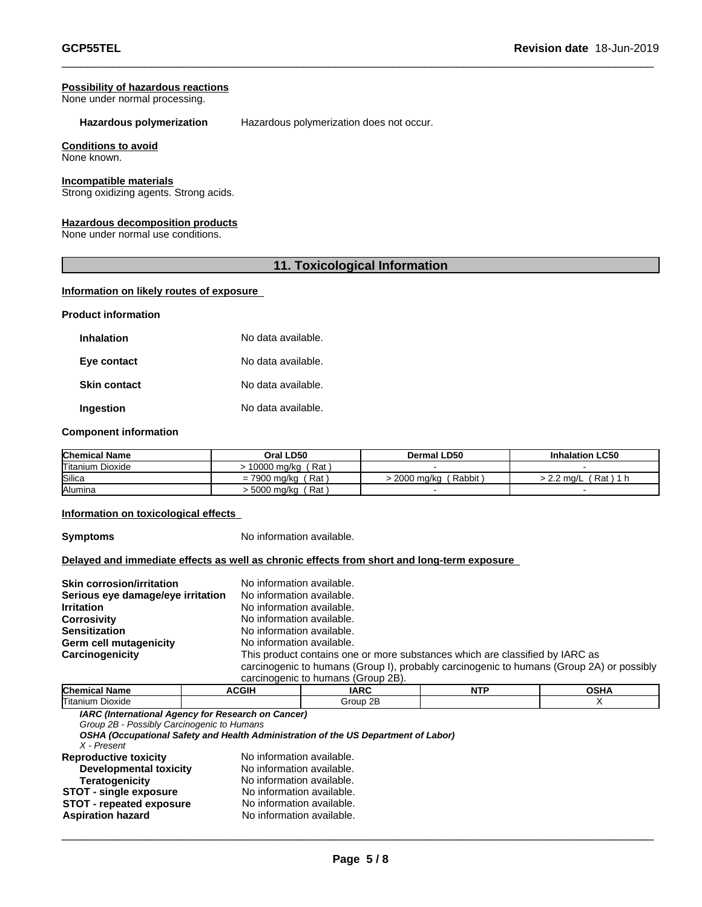#### **Possibility of hazardous reactions**

None under normal processing.

#### **Hazardous polymerization** Hazardous polymerization does not occur.

#### **Conditions to avoid**

None known.

#### **Incompatible materials**

Strong oxidizing agents. Strong acids.

#### **Hazardous decomposition products**

None under normal use conditions.

### **11. Toxicological Information**

#### **Information on likely routes of exposure**

| <b>Product information</b> |                    |
|----------------------------|--------------------|
| <b>Inhalation</b>          | No data available. |
| Eye contact                | No data available. |
| <b>Skin contact</b>        | No data available. |
| Ingestion                  | No data available. |

#### **Component information**

| <b>Chemical Name</b> | Oral LD50            | <b>Dermal LD50</b>   | <b>Inhalation LC50</b>    |
|----------------------|----------------------|----------------------|---------------------------|
| Titanium Dioxide     | ′ Rat<br>10000 ma/ka |                      |                           |
| Silica               | Rat<br>= 7900 ma/ka  | 2000 ma/ka<br>Rabbit | Rat<br>$2.2 \text{ ma/L}$ |
| <b>Alumina</b>       | Rat<br>5000 mg/kg    |                      |                           |

#### **Information on toxicological effects**

**Symptoms** No information available.

#### **Delayed and immediate effects as well as chronic effects from short and long-term exposure**

| <b>Skin corrosion/irritation</b>  | No information available.                                                                |
|-----------------------------------|------------------------------------------------------------------------------------------|
|                                   |                                                                                          |
| Serious eye damage/eye irritation | No information available.                                                                |
| <b>Irritation</b>                 | No information available.                                                                |
| Corrosivity                       | No information available.                                                                |
| Sensitization                     | No information available.                                                                |
| Germ cell mutagenicity            | No information available.                                                                |
| <b>Carcinogenicity</b>            | This product contains one or more substances which are classified by IARC as             |
|                                   | carcinogenic to humans (Group I), probably carcinogenic to humans (Group 2A) or possibly |
|                                   | carcinogenic to humans (Group 2R)                                                        |

|                                            |                                                                                    | <u>Calcinous indications</u> (Oroup 2D). |            |             |
|--------------------------------------------|------------------------------------------------------------------------------------|------------------------------------------|------------|-------------|
| <b>Chemical Name</b>                       | <b>ACGIH</b>                                                                       | <b>IARC</b>                              | <b>NTP</b> | <b>OSHA</b> |
| <b>Titanium Dioxide</b>                    |                                                                                    | Group 2B                                 |            |             |
|                                            | IARC (International Agency for Research on Cancer)                                 |                                          |            |             |
| Group 2B - Possibly Carcinogenic to Humans |                                                                                    |                                          |            |             |
|                                            | OSHA (Occupational Safety and Health Administration of the US Department of Labor) |                                          |            |             |
| X - Present                                |                                                                                    |                                          |            |             |
|                                            |                                                                                    |                                          |            |             |

**Reproductive toxicity No information available.**<br>**Developmental toxicity No information available. Developmental toxicity<br>Teratogenicity** No information available.<br>No information available. **STOT - single exposure STOT - repeated exposure** No information available. **Aspiration hazard** No information available.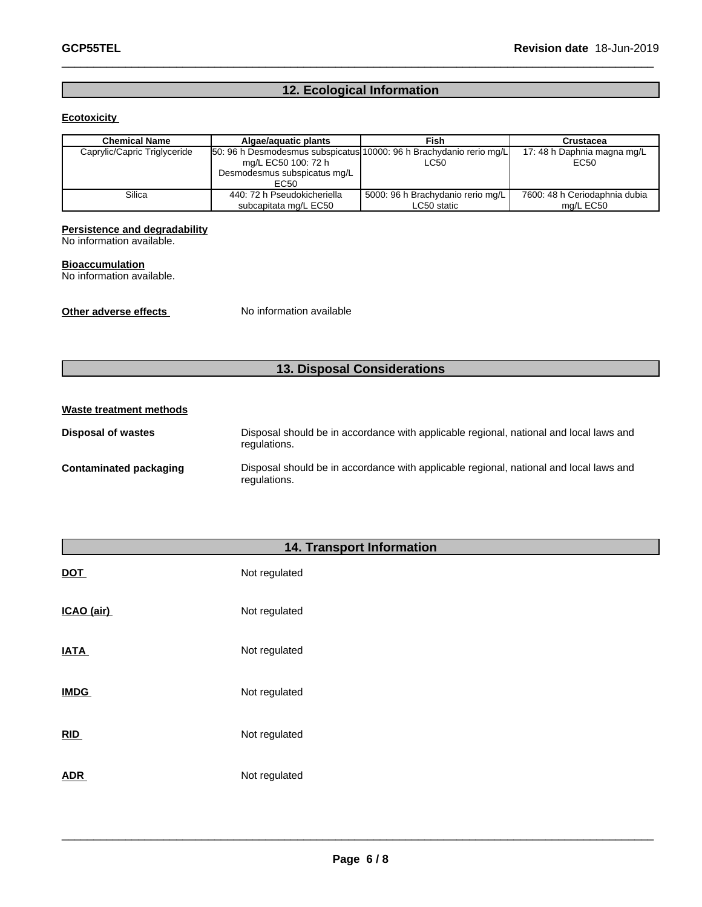# **12. Ecological Information**

#### **Ecotoxicity**

| <b>Chemical Name</b>         | Algae/aguatic plants         | Fish                                                                 | <b>Crustacea</b>              |
|------------------------------|------------------------------|----------------------------------------------------------------------|-------------------------------|
| Caprylic/Capric Triglyceride |                              | [50: 96 h Desmodesmus subspicatus 10000: 96 h Brachydanio rerio mg/L | 17: 48 h Daphnia magna mg/L   |
|                              | mg/L EC50 100: 72 h          | LC50                                                                 | EC50                          |
|                              | Desmodesmus subspicatus mg/L |                                                                      |                               |
|                              | EC50                         |                                                                      |                               |
| Silica                       | 440: 72 h Pseudokicheriella  | 5000: 96 h Brachydanio rerio mg/L                                    | 7600: 48 h Ceriodaphnia dubia |
|                              | subcapitata mg/L EC50        | LC50 static                                                          | mg/L EC50                     |

#### **Persistence and degradability**

No information available.

#### **Bioaccumulation**

No information available.

**Other adverse effects** No information available

# **13. Disposal Considerations**

| Waste treatment methods |                                                                                                        |
|-------------------------|--------------------------------------------------------------------------------------------------------|
| Disposal of wastes      | Disposal should be in accordance with applicable regional, national and local laws and<br>regulations. |
| Contaminated packaging  | Disposal should be in accordance with applicable regional, national and local laws and<br>regulations. |

# **14. Transport Information**

| <b>DOT</b>  | Not regulated |
|-------------|---------------|
| ICAO (air)  | Not regulated |
| <b>IATA</b> | Not regulated |
| <b>IMDG</b> | Not regulated |
| <b>RID</b>  | Not regulated |
| <b>ADR</b>  | Not regulated |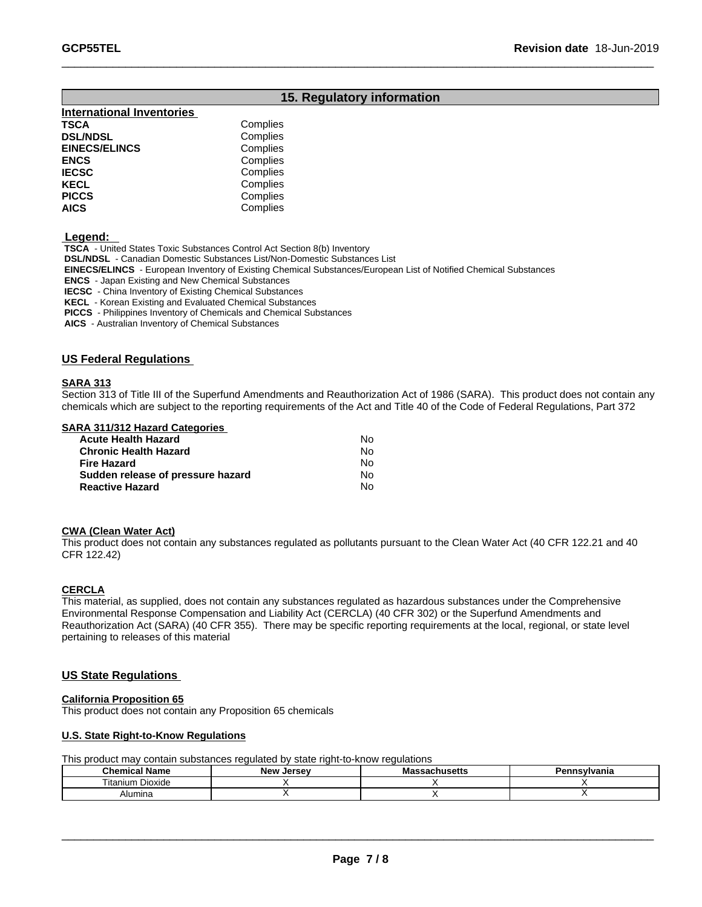### **15. Regulatory information**

#### **ENCS** Complies **IECSC** Complies **KECL** Complies PICCS Complies **International Inventories DSL/NDSL EINECS/ELINCS** Complies

 **Legend:** 

 **TSCA** - United States Toxic Substances Control Act Section 8(b) Inventory

 **DSL/NDSL** - Canadian Domestic Substances List/Non-Domestic Substances List

Complies<br>Complies

 **EINECS/ELINCS** - European Inventory of Existing Chemical Substances/European List of Notified Chemical Substances

 **ENCS** - Japan Existing and New Chemical Substances

**AICS** Complies

 **IECSC** - China Inventory of Existing Chemical Substances

 **KECL** - Korean Existing and Evaluated Chemical Substances

 **PICCS** - Philippines Inventory of Chemicals and Chemical Substances

 **AICS** - Australian Inventory of Chemical Substances

#### **US Federal Regulations**

#### **SARA 313**

Section 313 of Title III of the Superfund Amendments and Reauthorization Act of 1986 (SARA). This product does not contain any chemicals which are subject to the reporting requirements of the Act and Title 40 of the Code of Federal Regulations, Part 372

#### **SARA 311/312 Hazard Categories**

| Acute Health Hazard               | No. |  |
|-----------------------------------|-----|--|
| Chronic Health Hazard             | Nο  |  |
| Fire Hazard                       | Nο  |  |
| Sudden release of pressure hazard | No. |  |
| <b>Reactive Hazard</b>            | Nο  |  |
|                                   |     |  |

#### **CWA** (Clean Water Act)

This product does not contain any substances regulated as pollutants pursuant to the Clean Water Act (40 CFR 122.21 and 40 CFR 122.42)

#### **CERCLA**

This material, as supplied, does not contain any substances regulated as hazardous substances under the Comprehensive Environmental Response Compensation and Liability Act (CERCLA) (40 CFR 302) or the Superfund Amendments and Reauthorization Act (SARA) (40 CFR 355). There may be specific reporting requirements at the local, regional, or state level pertaining to releases of this material

#### **US State Regulations**

#### **California Proposition 65**

This product does not contain any Proposition 65 chemicals

#### **U.S. State Right-to-Know Regulations**

This product may contain substances regulated by state right-to-know regulations

| <b>Chemical</b><br>l Name | Jersev<br>New | MASSALIIUSELLS | 'anıa<br>எப |
|---------------------------|---------------|----------------|-------------|
| Titanium Dioxide          |               |                |             |
| Alumina                   |               |                |             |